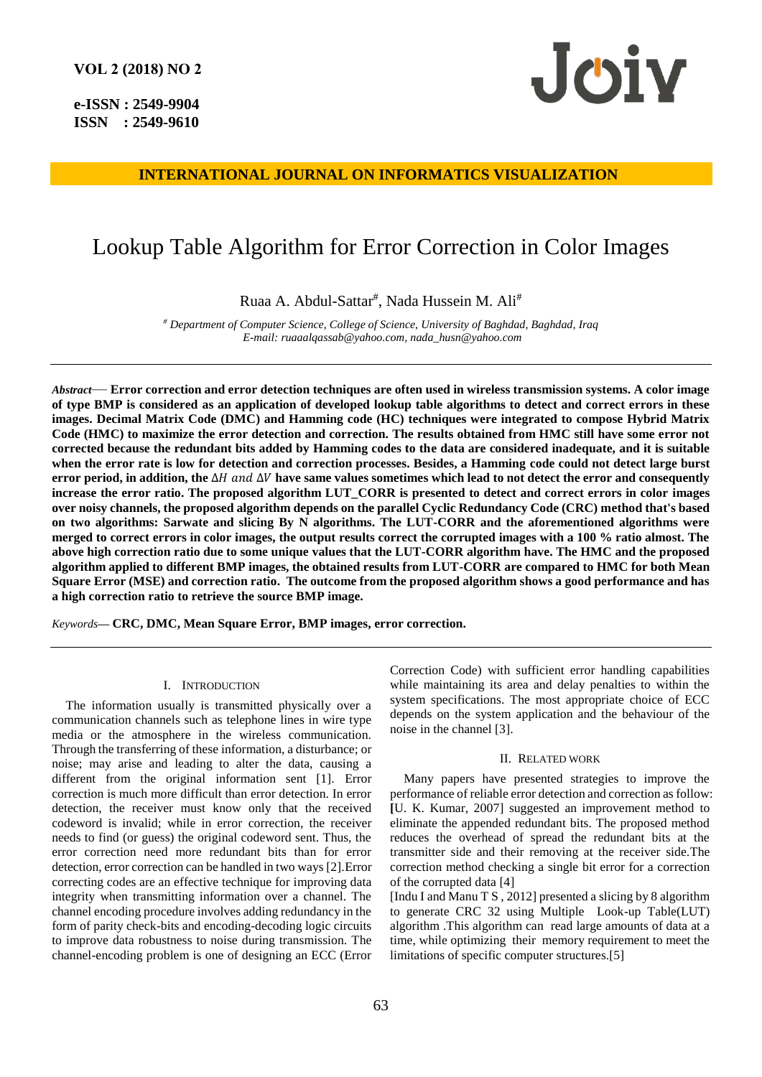**e-ISSN : 2549-9904 ISSN : 2549-9610** 



# **INTERNATIONAL JOURNAL ON INFORMATICS VISUALIZATION**

# Lookup Table Algorithm for Error Correction in Color Images

Ruaa A. Abdul-Sattar<sup>#</sup>, Nada Hussein M. Ali<sup>#</sup>

*# Department of Computer Science, College of Science, University of Baghdad, Baghdad, Iraq E-mail[: ruaaalqassab@yahoo.com,](mailto:ruaaalqassab@yahoo.com) [nada\\_husn@yahoo.com](mailto:nada_husn@yahoo.com)*

*Abstract*— **Error correction and error detection techniques are often used in wireless transmission systems. A color image of type BMP is considered as an application of developed lookup table algorithms to detect and correct errors in these images. Decimal Matrix Code (DMC) and Hamming code (HC) techniques were integrated to compose Hybrid Matrix Code (HMC) to maximize the error detection and correction. The results obtained from HMC still have some error not corrected because the redundant bits added by Hamming codes to the data are considered inadequate, and it is suitable when the error rate is low for detection and correction processes. Besides, a Hamming code could not detect large burst error period, in addition, the ∆H** and ∆V have same values sometimes which lead to not detect the error and consequently **increase the error ratio. The proposed algorithm LUT\_CORR is presented to detect and correct errors in color images over noisy channels, the proposed algorithm depends on the parallel Cyclic Redundancy Code (CRC) method that's based on two algorithms: Sarwate and slicing By N algorithms. The LUT-CORR and the aforementioned algorithms were merged to correct errors in color images, the output results correct the corrupted images with a 100 % ratio almost. The above high correction ratio due to some unique values that the LUT-CORR algorithm have. The HMC and the proposed algorithm applied to different BMP images, the obtained results from LUT-CORR are compared to HMC for both Mean Square Error (MSE) and correction ratio. The outcome from the proposed algorithm shows a good performance and has a high correction ratio to retrieve the source BMP image.**

*Keywords***— CRC, DMC, Mean Square Error, BMP images, error correction.**

#### I. INTRODUCTION

The information usually is transmitted physically over a communication channels such as telephone lines in wire type media or the atmosphere in the wireless communication. Through the transferring of these information, a disturbance; or noise; may arise and leading to alter the data, causing a different from the original information sent [1]. Error correction is much more difficult than error detection. In error detection, the receiver must know only that the received codeword is invalid; while in error correction, the receiver needs to find (or guess) the original codeword sent. Thus, the error correction need more redundant bits than for error detection, error correction can be handled in two ways [2].Error correcting codes are an effective technique for improving data integrity when transmitting information over a channel. The channel encoding procedure involves adding redundancy in the form of parity check-bits and encoding-decoding logic circuits to improve data robustness to noise during transmission. The channel-encoding problem is one of designing an ECC (Error Correction Code) with sufficient error handling capabilities while maintaining its area and delay penalties to within the system specifications. The most appropriate choice of ECC depends on the system application and the behaviour of the noise in the channel [3].

#### II. RELATED WORK

Many papers have presented strategies to improve the performance of reliable error detection and correction as follow: **[**U. K. Kumar, 2007] suggested an improvement method to eliminate the appended redundant bits. The proposed method reduces the overhead of spread the redundant bits at the transmitter side and their removing at the receiver side.The correction method checking a single bit error for a correction of the corrupted data [4]

[Indu I and Manu T S , 2012] presented a slicing by 8 algorithm to generate CRC 32 using Multiple Look-up Table(LUT) algorithm .This algorithm can read large amounts of data at a time, while optimizing their memory requirement to meet the limitations of specific computer structures.[5]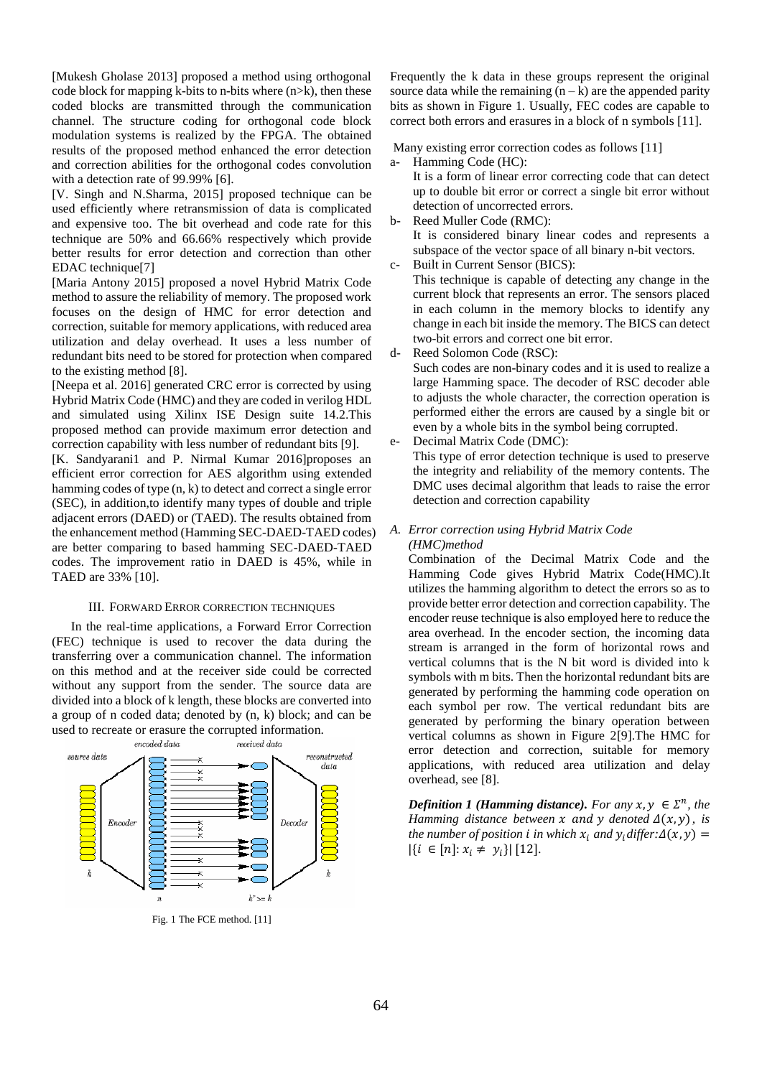[Mukesh Gholase 2013] proposed a method using orthogonal code block for mapping k-bits to n-bits where (n>k), then these coded blocks are transmitted through the communication channel. The structure coding for orthogonal code block modulation systems is realized by the FPGA. The obtained results of the proposed method enhanced the error detection and correction abilities for the orthogonal codes convolution with a detection rate of 99.99% [6].

[V. Singh and N.Sharma, 2015] proposed technique can be used efficiently where retransmission of data is complicated and expensive too. The bit overhead and code rate for this technique are 50% and 66.66% respectively which provide better results for error detection and correction than other EDAC technique[7]

[Maria Antony 2015] proposed a novel Hybrid Matrix Code method to assure the reliability of memory. The proposed work focuses on the design of HMC for error detection and correction, suitable for memory applications, with reduced area utilization and delay overhead. It uses a less number of redundant bits need to be stored for protection when compared to the existing method [8].

[Neepa et al. 2016] generated CRC error is corrected by using Hybrid Matrix Code (HMC) and they are coded in verilog HDL and simulated using Xilinx ISE Design suite 14.2.This proposed method can provide maximum error detection and correction capability with less number of redundant bits [9].

[K. Sandyarani1 and P. Nirmal Kumar 2016]proposes an efficient error correction for AES algorithm using extended hamming codes of type  $(n, k)$  to detect and correct a single error (SEC), in addition,to identify many types of double and triple adjacent errors (DAED) or (TAED). The results obtained from the enhancement method (Hamming SEC-DAED-TAED codes) are better comparing to based hamming SEC-DAED-TAED codes. The improvement ratio in DAED is 45%, while in TAED are 33% [10].

### III. FORWARD ERROR CORRECTION TECHNIQUES

 In the real-time applications, a Forward Error Correction (FEC) technique is used to recover the data during the transferring over a communication channel. The information on this method and at the receiver side could be corrected without any support from the sender. The source data are divided into a block of k length, these blocks are converted into a group of n coded data; denoted by (n, k) block; and can be used to recreate or erasure the corrupted information.



Fig. 1 The FCE method. [11]

Frequently the k data in these groups represent the original source data while the remaining  $(n - k)$  are the appended parity bits as shown in Figure 1. Usually, FEC codes are capable to correct both errors and erasures in a block of n symbols [11].

Many existing error correction codes as follows [11]

- a- Hamming Code (HC): It is a form of linear error correcting code that can detect up to double bit error or correct a single bit error without detection of uncorrected errors.
- b- Reed Muller Code (RMC): It is considered binary linear codes and represents a subspace of the vector space of all binary n-bit vectors.
- c- Built in Current Sensor (BICS): This technique is capable of detecting any change in the current block that represents an error. The sensors placed in each column in the memory blocks to identify any change in each bit inside the memory. The BICS can detect two-bit errors and correct one bit error.
- d- Reed Solomon Code (RSC): Such codes are non-binary codes and it is used to realize a large Hamming space. The decoder of RSC decoder able to adjusts the whole character, the correction operation is performed either the errors are caused by a single bit or even by a whole bits in the symbol being corrupted.
- e- Decimal Matrix Code (DMC): This type of error detection technique is used to preserve the integrity and reliability of the memory contents. The DMC uses decimal algorithm that leads to raise the error detection and correction capability
- *A. Error correction using Hybrid Matrix Code (HMC)method*

Combination of the Decimal Matrix Code and the Hamming Code gives Hybrid Matrix Code(HMC).It utilizes the hamming algorithm to detect the errors so as to provide better error detection and correction capability. The encoder reuse technique is also employed here to reduce the area overhead. In the encoder section, the incoming data stream is arranged in the form of horizontal rows and vertical columns that is the N bit word is divided into k symbols with m bits. Then the horizontal redundant bits are generated by performing the hamming code operation on each symbol per row. The vertical redundant bits are generated by performing the binary operation between vertical columns as shown in Figure 2[9].The HMC for error detection and correction, suitable for memory applications, with reduced area utilization and delay overhead, see [8].

*Definition 1 (Hamming distance). For any*  $x, y \in \Sigma^n$ , the *Hamming distance between*  $x$  and  $y$  denoted  $\Delta(x, y)$ , is *the number of position <i>i* in which  $x_i$  and  $y_i$  differ:  $\Delta(x, y)$  =  $|\{i \in [n] : x_i \neq y_i\}|$  [12].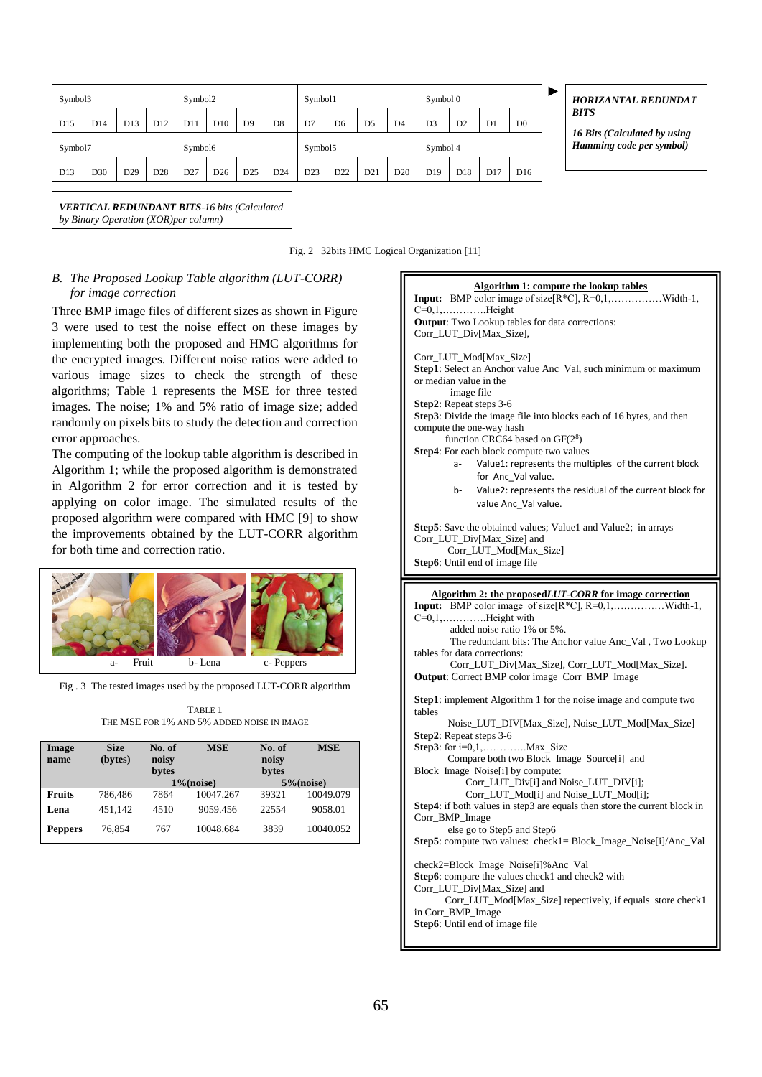| Symbol3         |     |                 | Symbol2         |                 |                 | Symbol1         |                 |         | Symbol 0       |                |                |                 |                 |                 |                 |
|-----------------|-----|-----------------|-----------------|-----------------|-----------------|-----------------|-----------------|---------|----------------|----------------|----------------|-----------------|-----------------|-----------------|-----------------|
| D <sub>15</sub> | D14 | D <sub>13</sub> | D <sub>12</sub> | D11             | D <sub>10</sub> | D <sub>9</sub>  | D8              | D7      | D <sub>6</sub> | D <sub>5</sub> | D <sub>4</sub> | D <sub>3</sub>  | D <sub>2</sub>  | D <sub>1</sub>  | D <sub>0</sub>  |
| Symbol7         |     |                 |                 | Symbol6         |                 |                 |                 | Symbol5 |                |                |                | Symbol 4        |                 |                 |                 |
| D13             | D30 | D <sub>29</sub> | D <sub>28</sub> | D <sub>27</sub> | D <sub>26</sub> | D <sub>25</sub> | D <sub>24</sub> | D23     | D22            | D21            | D20            | D <sub>19</sub> | D <sub>18</sub> | D <sub>17</sub> | D <sub>16</sub> |

*HORIZANTAL REDUNDAT BITS*

*16 Bits (Calculated by using Hamming code per symbol)*

*VERTICAL REDUNDANT BITS-16 bits (Calculated* 

*by Binary Operation (XOR)per column)*

Fig. 2 32bits HMC Logical Organization [11]

# *B. The Proposed Lookup Table algorithm (LUT-CORR) for image correction*

Three BMP image files of different sizes as shown in Figure 3 were used to test the noise effect on these images by implementing both the proposed and HMC algorithms for the encrypted images. Different noise ratios were added to various image sizes to check the strength of these algorithms; Table 1 represents the MSE for three tested images. The noise; 1% and 5% ratio of image size; added randomly on pixels bits to study the detection and correction error approaches.

The computing of the lookup table algorithm is described in Algorithm 1; while the proposed algorithm is demonstrated in Algorithm 2 for error correction and it is tested by applying on color image. The simulated results of the proposed algorithm were compared with HMC [9] to show the improvements obtained by the LUT-CORR algorithm for both time and correction ratio.



Fig . 3 The tested images used by the proposed LUT-CORR algorithm

| TABLE 1                                    |  |  |  |  |  |  |  |  |
|--------------------------------------------|--|--|--|--|--|--|--|--|
| THE MSE FOR 1% AND 5% ADDED NOISE IN IMAGE |  |  |  |  |  |  |  |  |

| Image<br>name  | <b>Size</b><br>(bytes) | No. of<br>noisy<br>bytes | <b>MSE</b><br>$1\%$ (noise) | No. of<br>noisy<br>bytes | <b>MSE</b><br>$5\%$ (noise) |
|----------------|------------------------|--------------------------|-----------------------------|--------------------------|-----------------------------|
| <b>Fruits</b>  | 786.486                | 7864                     | 10047.267                   | 39321                    | 10049.079                   |
| Lena           | 451.142                | 4510                     | 9059.456                    | 22554                    | 9058.01                     |
| <b>Peppers</b> | 76.854                 | 767                      | 10048.684                   | 3839                     | 10040.052                   |

| <b>Algorithm 1: compute the lookup tables</b><br><b>Input:</b> BMP color image of size $\overline{[R^*C]}$ , $\overline{R=0,1,\ldots}$ Width-1,<br>$C=0,1,\ldots,\ldots\ldots$ . Height<br><b>Output:</b> Two Lookup tables for data corrections:<br>Corr_LUT_Div[Max_Size],                                                                                                                                                        |
|-------------------------------------------------------------------------------------------------------------------------------------------------------------------------------------------------------------------------------------------------------------------------------------------------------------------------------------------------------------------------------------------------------------------------------------|
| Corr_LUT_Mod[Max_Size]<br>Step1: Select an Anchor value Anc_Val, such minimum or maximum<br>or median value in the<br>image file<br>Step2: Repeat steps 3-6<br>Step3: Divide the image file into blocks each of 16 bytes, and then<br>compute the one-way hash<br>function CRC64 based on $GF(28)$<br>Step4: For each block compute two values<br>Value1: represents the multiples of the current block<br>a-<br>for Anc Val value. |
| Value2: represents the residual of the current block for<br>b-                                                                                                                                                                                                                                                                                                                                                                      |
| value Anc_Val value.                                                                                                                                                                                                                                                                                                                                                                                                                |
| Step5: Save the obtained values; Value1 and Value2; in arrays<br>Corr_LUT_Div[Max_Size] and<br>Corr_LUT_Mod[Max_Size]<br>Step6: Until end of image file                                                                                                                                                                                                                                                                             |
|                                                                                                                                                                                                                                                                                                                                                                                                                                     |
| Algorithm 2: the proposedLUT-CORR for image correction<br>Input: BMP color image of size[R*C], R=0,1,Width-1,<br>added noise ratio 1% or 5%.<br>The redundant bits: The Anchor value Anc_Val, Two Lookup<br>tables for data corrections:<br>Corr_LUT_Div[Max_Size], Corr_LUT_Mod[Max_Size].                                                                                                                                         |
| <b>Output:</b> Correct BMP color image Corr_BMP_Image                                                                                                                                                                                                                                                                                                                                                                               |
| Step1: implement Algorithm 1 for the noise image and compute two<br>tables                                                                                                                                                                                                                                                                                                                                                          |
| Noise_LUT_DIV[Max_Size], Noise_LUT_Mod[Max_Size]                                                                                                                                                                                                                                                                                                                                                                                    |
| Step2: Repeat steps 3-6                                                                                                                                                                                                                                                                                                                                                                                                             |
| <b>Step3</b> : for $i=0,1,$ Max Size<br>Compare both two Block_Image_Source[i] and                                                                                                                                                                                                                                                                                                                                                  |

 Corr\_LUT\_Div[i] and Noise\_LUT\_DIV[i]; Corr\_LUT\_Mod[i] and Noise\_LUT\_Mod[i]; **Step4**: if both values in step3 are equals then store the current block in

**Step5**: compute two values: check1= Block\_Image\_Noise[i]/Anc\_Val

Corr\_LUT\_Mod[Max\_Size] repectively, if equals store check1

Corr\_BMP\_Image

in Corr\_BMP\_Image **Step6**: Until end of image file

else go to Step5 and Step6

check2=Block\_Image\_Noise[i]%Anc\_Val Step6: compare the values check1 and check2 with

Corr\_LUT\_Div[Max\_Size] and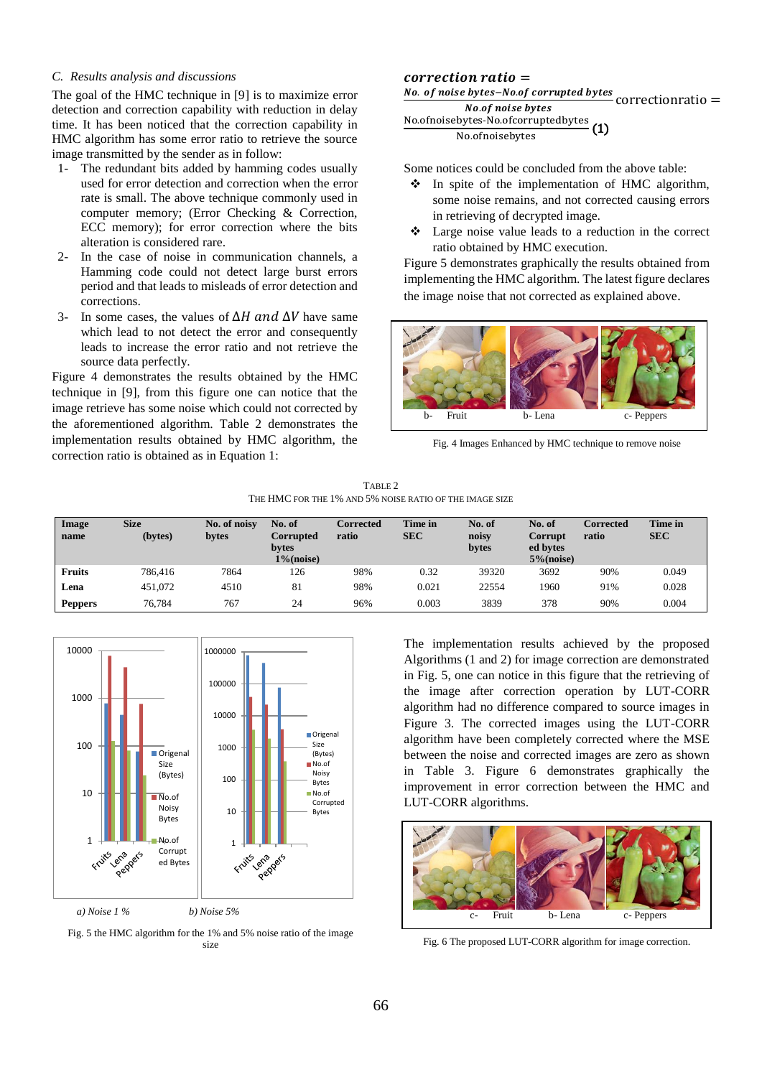## *C. Results analysis and discussions*

The goal of the HMC technique in [9] is to maximize error detection and correction capability with reduction in delay time. It has been noticed that the correction capability in HMC algorithm has some error ratio to retrieve the source image transmitted by the sender as in follow:

- 1- The redundant bits added by hamming codes usually used for error detection and correction when the error rate is small. The above technique commonly used in computer memory; (Error Checking & Correction, ECC memory); for error correction where the bits alteration is considered rare.
- 2- In the case of noise in communication channels, a Hamming code could not detect large burst errors period and that leads to misleads of error detection and corrections.
- 3- In some cases, the values of  $\Delta H$  and  $\Delta V$  have same which lead to not detect the error and consequently leads to increase the error ratio and not retrieve the source data perfectly.

Figure 4 demonstrates the results obtained by the HMC technique in [9], from this figure one can notice that the image retrieve has some noise which could not corrected by the aforementioned algorithm. Table 2 demonstrates the implementation results obtained by HMC algorithm, the correction ratio is obtained as in Equation 1:

# $correction ratio =$

<u>No. of noise bytes–No.of corrupted bytes</u><br>No.of noise bytes<br>No.of noise bytes



Some notices could be concluded from the above table:

- ❖ In spite of the implementation of HMC algorithm, some noise remains, and not corrected causing errors in retrieving of decrypted image.
- ❖ Large noise value leads to a reduction in the correct ratio obtained by HMC execution.

Figure 5 demonstrates graphically the results obtained from implementing the HMC algorithm. The latest figure declares the image noise that not corrected as explained above.



Fig. 4 Images Enhanced by HMC technique to remove noise

TABLE 2 THE HMC FOR THE 1% AND 5% NOISE RATIO OF THE IMAGE SIZE

| Image<br>name  | <b>Size</b><br>(bytes) | No. of noisy<br>bytes | No. of<br><b>Corrupted</b><br>bytes<br>$1\%$ (noise) | Corrected<br>ratio | Time in<br><b>SEC</b> | No. of<br>noisy<br>bytes | No. of<br>Corrupt<br>ed bytes<br>$5\%$ (noise) | Corrected<br>ratio | Time in<br><b>SEC</b> |
|----------------|------------------------|-----------------------|------------------------------------------------------|--------------------|-----------------------|--------------------------|------------------------------------------------|--------------------|-----------------------|
| <b>Fruits</b>  | 786.416                | 7864                  | 126                                                  | 98%                | 0.32                  | 39320                    | 3692                                           | 90%                | 0.049                 |
| Lena           | 451.072                | 4510                  | 81                                                   | 98%                | 0.021                 | 22554                    | 1960                                           | 91%                | 0.028                 |
| <b>Peppers</b> | 76,784                 | 767                   | 24                                                   | 96%                | 0.003                 | 3839                     | 378                                            | 90%                | 0.004                 |



Fig. 5 the HMC algorithm for the 1% and 5% noise ratio of the image size

The implementation results achieved by the proposed Algorithms (1 and 2) for image correction are demonstrated in Fig. 5, one can notice in this figure that the retrieving of the image after correction operation by LUT-CORR algorithm had no difference compared to source images in Figure 3. The corrected images using the LUT-CORR algorithm have been completely corrected where the MSE between the noise and corrected images are zero as shown in Table 3. Figure 6 demonstrates graphically the improvement in error correction between the HMC and LUT-CORR algorithms.



Fig. 6 The proposed LUT-CORR algorithm for image correction.